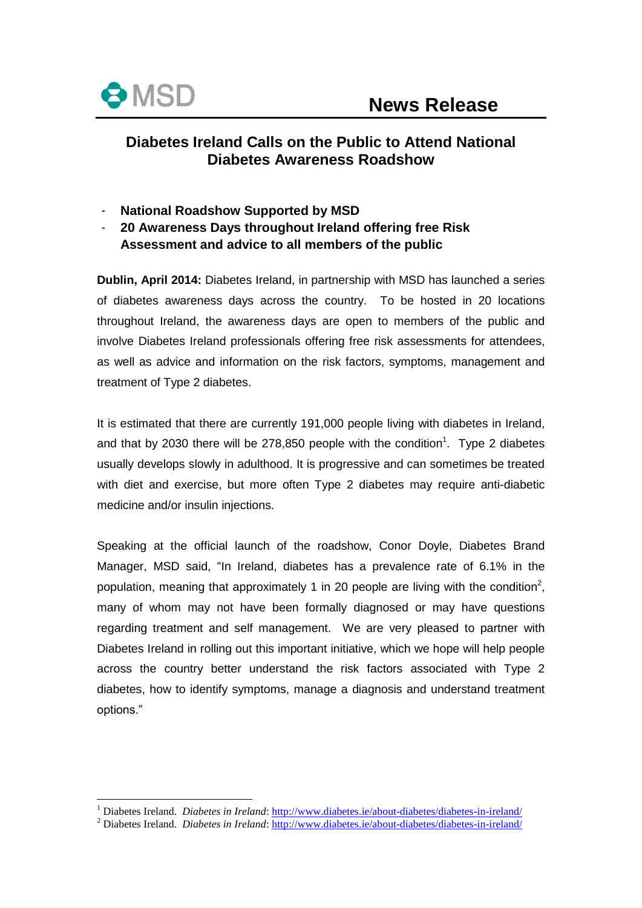

<u>.</u>

# **Diabetes Ireland Calls on the Public to Attend National Diabetes Awareness Roadshow**

- **National Roadshow Supported by MSD**
- **20 Awareness Days throughout Ireland offering free Risk Assessment and advice to all members of the public**

**Dublin, April 2014:** Diabetes Ireland, in partnership with MSD has launched a series of diabetes awareness days across the country. To be hosted in 20 locations throughout Ireland, the awareness days are open to members of the public and involve Diabetes Ireland professionals offering free risk assessments for attendees, as well as advice and information on the risk factors, symptoms, management and treatment of Type 2 diabetes.

It is estimated that there are currently 191,000 people living with diabetes in Ireland, and that by 2030 there will be 278,850 people with the condition<sup>1</sup>. Type 2 diabetes usually develops slowly in adulthood. It is progressive and can sometimes be treated with diet and exercise, but more often Type 2 diabetes may require anti-diabetic medicine and/or insulin injections.

Speaking at the official launch of the roadshow, Conor Doyle, Diabetes Brand Manager, MSD said, "In Ireland, diabetes has a prevalence rate of 6.1% in the population, meaning that approximately 1 in 20 people are living with the condition<sup>2</sup>, many of whom may not have been formally diagnosed or may have questions regarding treatment and self management. We are very pleased to partner with Diabetes Ireland in rolling out this important initiative, which we hope will help people across the country better understand the risk factors associated with Type 2 diabetes, how to identify symptoms, manage a diagnosis and understand treatment options."

<sup>1</sup> Diabetes Ireland. *Diabetes in Ireland*:<http://www.diabetes.ie/about-diabetes/diabetes-in-ireland/>

<sup>2</sup> Diabetes Ireland. *Diabetes in Ireland*:<http://www.diabetes.ie/about-diabetes/diabetes-in-ireland/>